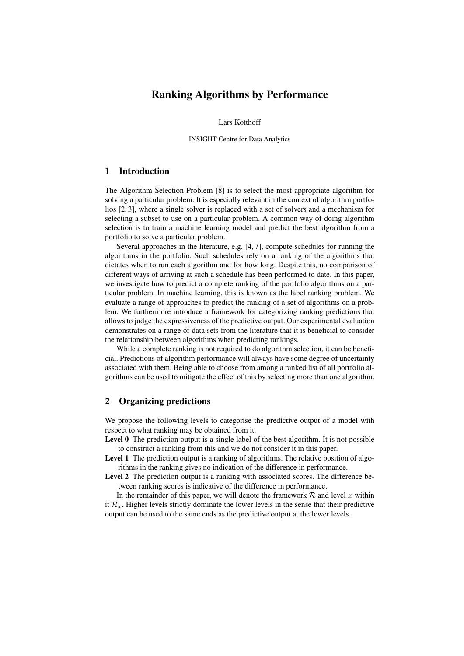# Ranking Algorithms by Performance

Lars Kotthoff

INSIGHT Centre for Data Analytics

# 1 Introduction

The Algorithm Selection Problem [8] is to select the most appropriate algorithm for solving a particular problem. It is especially relevant in the context of algorithm portfolios [2, 3], where a single solver is replaced with a set of solvers and a mechanism for selecting a subset to use on a particular problem. A common way of doing algorithm selection is to train a machine learning model and predict the best algorithm from a portfolio to solve a particular problem.

Several approaches in the literature, e.g. [4, 7], compute schedules for running the algorithms in the portfolio. Such schedules rely on a ranking of the algorithms that dictates when to run each algorithm and for how long. Despite this, no comparison of different ways of arriving at such a schedule has been performed to date. In this paper, we investigate how to predict a complete ranking of the portfolio algorithms on a particular problem. In machine learning, this is known as the label ranking problem. We evaluate a range of approaches to predict the ranking of a set of algorithms on a problem. We furthermore introduce a framework for categorizing ranking predictions that allows to judge the expressiveness of the predictive output. Our experimental evaluation demonstrates on a range of data sets from the literature that it is beneficial to consider the relationship between algorithms when predicting rankings.

While a complete ranking is not required to do algorithm selection, it can be beneficial. Predictions of algorithm performance will always have some degree of uncertainty associated with them. Being able to choose from among a ranked list of all portfolio algorithms can be used to mitigate the effect of this by selecting more than one algorithm.

### 2 Organizing predictions

We propose the following levels to categorise the predictive output of a model with respect to what ranking may be obtained from it.

Level 0 The prediction output is a single label of the best algorithm. It is not possible to construct a ranking from this and we do not consider it in this paper.

Level 1 The prediction output is a ranking of algorithms. The relative position of algorithms in the ranking gives no indication of the difference in performance.

Level 2 The prediction output is a ranking with associated scores. The difference between ranking scores is indicative of the difference in performance.

In the remainder of this paper, we will denote the framework  $R$  and level  $x$  within it  $\mathcal{R}_r$ . Higher levels strictly dominate the lower levels in the sense that their predictive output can be used to the same ends as the predictive output at the lower levels.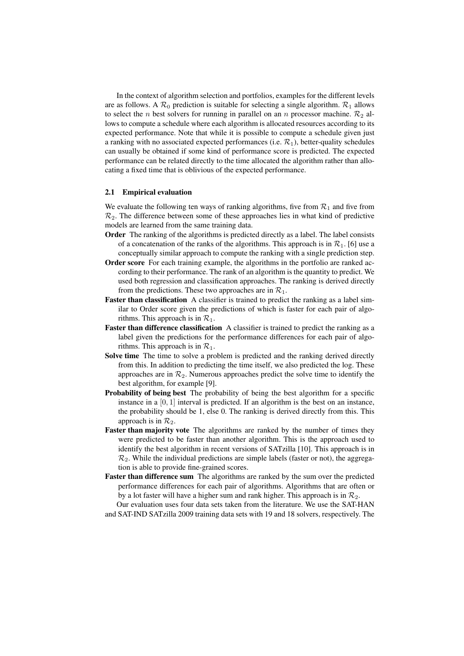In the context of algorithm selection and portfolios, examples for the different levels are as follows. A  $\mathcal{R}_0$  prediction is suitable for selecting a single algorithm.  $\mathcal{R}_1$  allows to select the *n* best solvers for running in parallel on an *n* processor machine.  $\mathcal{R}_2$  allows to compute a schedule where each algorithm is allocated resources according to its expected performance. Note that while it is possible to compute a schedule given just a ranking with no associated expected performances (i.e.  $\mathcal{R}_1$ ), better-quality schedules can usually be obtained if some kind of performance score is predicted. The expected performance can be related directly to the time allocated the algorithm rather than allocating a fixed time that is oblivious of the expected performance.

#### 2.1 Empirical evaluation

We evaluate the following ten ways of ranking algorithms, five from  $\mathcal{R}_1$  and five from  $\mathcal{R}_2$ . The difference between some of these approaches lies in what kind of predictive models are learned from the same training data.

- Order The ranking of the algorithms is predicted directly as a label. The label consists of a concatenation of the ranks of the algorithms. This approach is in  $\mathcal{R}_1$ . [6] use a conceptually similar approach to compute the ranking with a single prediction step.
- Order score For each training example, the algorithms in the portfolio are ranked according to their performance. The rank of an algorithm is the quantity to predict. We used both regression and classification approaches. The ranking is derived directly from the predictions. These two approaches are in  $\mathcal{R}_1$ .
- Faster than classification A classifier is trained to predict the ranking as a label similar to Order score given the predictions of which is faster for each pair of algorithms. This approach is in  $\mathcal{R}_1$ .
- Faster than difference classification A classifier is trained to predict the ranking as a label given the predictions for the performance differences for each pair of algorithms. This approach is in  $\mathcal{R}_1$ .
- Solve time The time to solve a problem is predicted and the ranking derived directly from this. In addition to predicting the time itself, we also predicted the log. These approaches are in  $\mathcal{R}_2$ . Numerous approaches predict the solve time to identify the best algorithm, for example [9].
- Probability of being best The probability of being the best algorithm for a specific instance in a [0*,* 1] interval is predicted. If an algorithm is the best on an instance, the probability should be 1, else 0. The ranking is derived directly from this. This approach is in  $\mathcal{R}_2$ .
- Faster than majority vote The algorithms are ranked by the number of times they were predicted to be faster than another algorithm. This is the approach used to identify the best algorithm in recent versions of SATzilla [10]. This approach is in  $\mathcal{R}_2$ . While the individual predictions are simple labels (faster or not), the aggregation is able to provide fine-grained scores.
- Faster than difference sum The algorithms are ranked by the sum over the predicted performance differences for each pair of algorithms. Algorithms that are often or by a lot faster will have a higher sum and rank higher. This approach is in  $\mathcal{R}_2$ .
- Our evaluation uses four data sets taken from the literature. We use the SAT-HAN and SAT-IND SATzilla 2009 training data sets with 19 and 18 solvers, respectively. The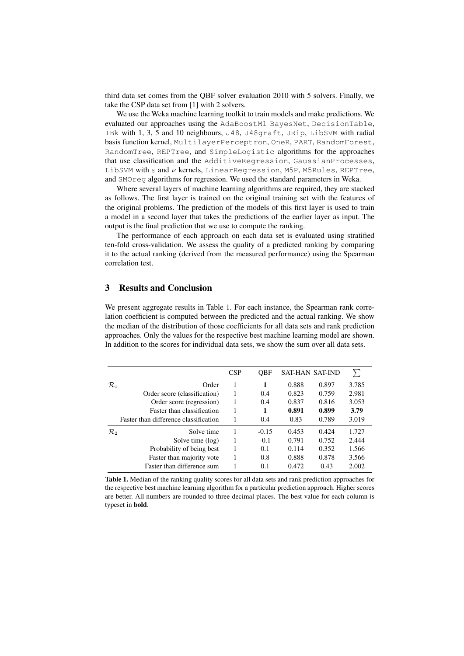third data set comes from the QBF solver evaluation 2010 with 5 solvers. Finally, we take the CSP data set from [1] with 2 solvers.

We use the Weka machine learning toolkit to train models and make predictions. We evaluated our approaches using the AdaBoostM1 BayesNet, DecisionTable, IBk with 1, 3, 5 and 10 neighbours, J48, J48graft, JRip, LibSVM with radial basis function kernel, MultilayerPerceptron, OneR, PART, RandomForest, RandomTree, REPTree, and SimpleLogistic algorithms for the approaches that use classification and the AdditiveRegression, GaussianProcesses, LibSVM with *ε* and *ν* kernels, LinearRegression, M5P, M5Rules, REPTree, and SMOreg algorithms for regression. We used the standard parameters in Weka.

Where several layers of machine learning algorithms are required, they are stacked as follows. The first layer is trained on the original training set with the features of the original problems. The prediction of the models of this first layer is used to train a model in a second layer that takes the predictions of the earlier layer as input. The output is the final prediction that we use to compute the ranking.

The performance of each approach on each data set is evaluated using stratified ten-fold cross-validation. We assess the quality of a predicted ranking by comparing it to the actual ranking (derived from the measured performance) using the Spearman correlation test.

# 3 Results and Conclusion

We present aggregate results in Table 1. For each instance, the Spearman rank correlation coefficient is computed between the predicted and the actual ranking. We show the median of the distribution of those coefficients for all data sets and rank prediction approaches. Only the values for the respective best machine learning model are shown. In addition to the scores for individual data sets, we show the sum over all data sets.

|                 |                                       | <b>CSP</b> | <b>OBF</b> | <b>SAT-HAN SAT-IND</b> |       |       |
|-----------------|---------------------------------------|------------|------------|------------------------|-------|-------|
| $\mathcal{R}_1$ | Order                                 |            | 1          | 0.888                  | 0.897 | 3.785 |
|                 | Order score (classification)          |            | 0.4        | 0.823                  | 0.759 | 2.981 |
|                 | Order score (regression)              |            | 0.4        | 0.837                  | 0.816 | 3.053 |
|                 | <b>Faster than classification</b>     |            | 1          | 0.891                  | 0.899 | 3.79  |
|                 | Faster than difference classification |            | 0.4        | 0.83                   | 0.789 | 3.019 |
| $\mathcal{R}_2$ | Solve time                            |            | $-0.15$    | 0.453                  | 0.424 | 1.727 |
|                 | Solve time (log)                      |            | $-0.1$     | 0.791                  | 0.752 | 2.444 |
|                 | Probability of being best             |            | 0.1        | 0.114                  | 0.352 | 1.566 |
|                 | Faster than majority vote             |            | 0.8        | 0.888                  | 0.878 | 3.566 |
|                 | Faster than difference sum            |            | 0.1        | 0.472                  | 0.43  | 2.002 |

Table 1. Median of the ranking quality scores for all data sets and rank prediction approaches for the respective best machine learning algorithm for a particular prediction approach. Higher scores are better. All numbers are rounded to three decimal places. The best value for each column is typeset in bold.